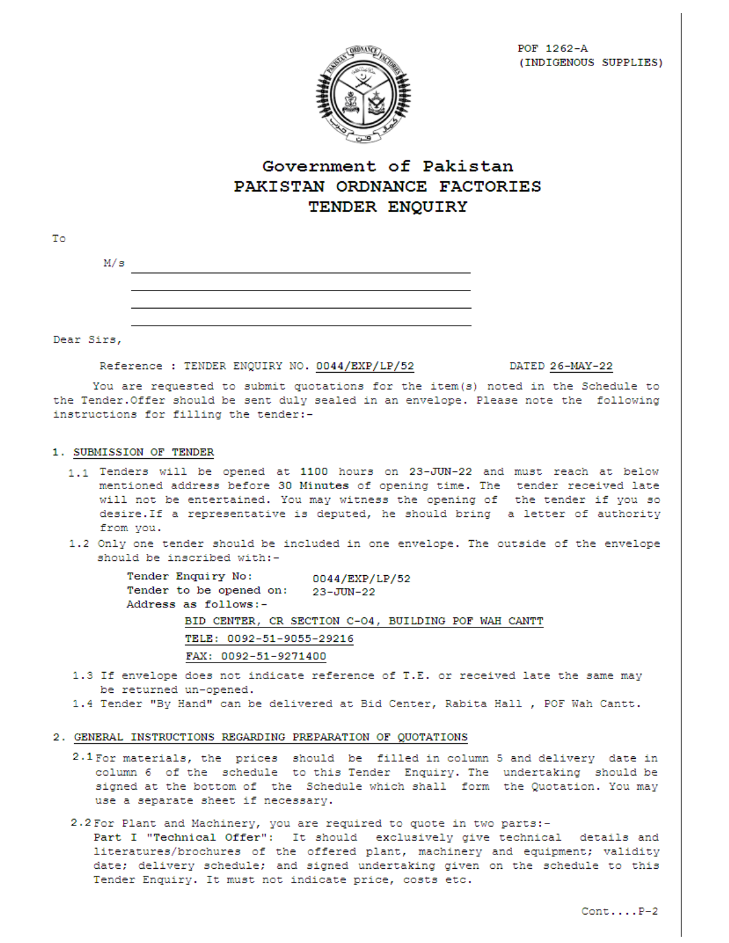

# Government of Pakistan PAKISTAN ORDNANCE FACTORIES TENDER ENQUIRY

| Τo |            |  |
|----|------------|--|
|    | M/s        |  |
|    |            |  |
|    |            |  |
|    |            |  |
|    | Dear Sirs. |  |

Reference : TENDER ENQUIRY NO. 0044/EXP/LP/52

DATED 26-MAY-22

You are requested to submit quotations for the item (s) noted in the Schedule to the Tender. Offer should be sent duly sealed in an envelope. Please note the following instructions for filling the tender:-

#### 1. SUBMISSION OF TENDER

- 1.1 Tenders will be opened at 1100 hours on 23-JUN-22 and must reach at below mentioned address before 30 Minutes of opening time. The tender received late will not be entertained. You may witness the opening of the tender if you so desire. If a representative is deputed, he should bring a letter of authority from you.
- 1.2 Only one tender should be included in one envelope. The outside of the envelope should be inscribed with:-

Tender Enquiry No: 0044/EXP/LP/52 Tender to be opened on: 23-JUN-22 Address as follows:-BID CENTER, CR SECTION C-04, BUILDING POF WAH CANTT TELE: 0092-51-9055-29216 FAX: 0092-51-9271400

- 1.3 If envelope does not indicate reference of T.E. or received late the same may be returned un-opened.
- 1.4 Tender "By Hand" can be delivered at Bid Center, Rabita Hall , POF Wah Cantt.

### 2. GENERAL INSTRUCTIONS REGARDING PREPARATION OF QUOTATIONS

- 2.1 For materials, the prices should be filled in column 5 and delivery date in column 6 of the schedule to this Tender Enquiry. The undertaking should be signed at the bottom of the Schedule which shall form the Quotation. You may use a separate sheet if necessary.
- 2.2 For Plant and Machinery, you are required to quote in two parts:-
	- Part I "Technical Offer": It should exclusively give technical details and literatures/brochures of the offered plant, machinery and equipment; validity date; delivery schedule; and signed undertaking given on the schedule to this Tender Enquiry. It must not indicate price, costs etc.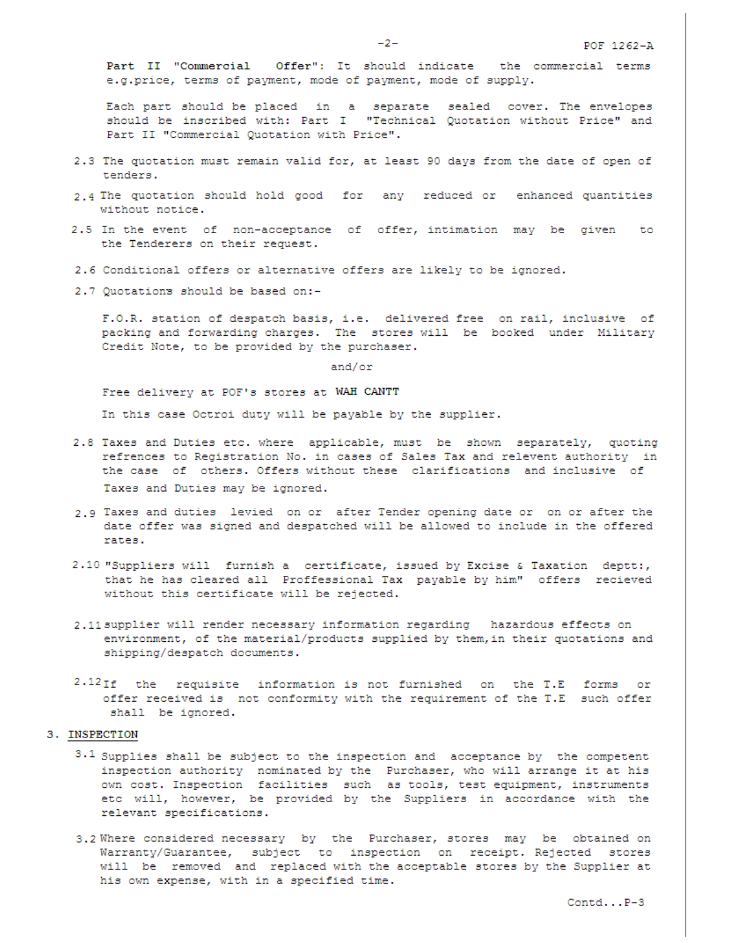$-2-$ 

Part II "Commercial Offer": It should indicate the commercial terms e.g.price, terms of payment, mode of payment, mode of supply.

Each part should be placed in a separate sealed cover. The envelopes should be inscribed with: Part I "Technical Quotation without Price" and Part II "Commercial Quotation with Price".

- 2.3 The quotation must remain valid for, at least 90 days from the date of open of tenders.
- 2.4 The quotation should hold good for any reduced or enhanced quantities without notice.
- 2.5 In the event of non-acceptance of offer, intimation may be given to the Tenderers on their request.
- 2.6 Conditional offers or alternative offers are likely to be ignored.
- 2.7 Quotations should be based on:-

F.O.R. station of despatch basis, i.e. delivered free on rail, inclusive of packing and forwarding charges. The stores will be booked under Military Credit Note, to be provided by the purchaser.

and/or

Free delivery at POF's stores at WAH CANTT

In this case Octroi duty will be payable by the supplier.

- 2.8 Taxes and Duties etc. where applicable, must be shown separately, quoting refrences to Registration No. in cases of Sales Tax and relevent authority in the case of others. Offers without these clarifications and inclusive of Taxes and Duties may be ignored.
- 2.9 Taxes and duties levied on or after Tender opening date or on or after the date offer was signed and despatched will be allowed to include in the offered rates.
- 2.10 "Suppliers will furnish a certificate, issued by Excise & Taxation deptt:, that he has cleared all Proffessional Tax payable by him" offers recieved without this certificate will be rejected.
- 2.11 supplier will render necessary information regarding hazardous effects on environment, of the material/products supplied by them, in their quotations and shipping/despatch documents.
- 2.12If the requisite information is not furnished on the T.E forms or offer received is not conformity with the requirement of the T.E such offer shall be ignored.

## 3. INSPECTION

- $3.1$  Supplies shall be subject to the inspection and acceptance by the competent inspection authority nominated by the Purchaser, who will arrange it at his own cost. Inspection facilities such as tools, test equipment, instruments etc will, however, be provided by the Suppliers in accordance with the relevant specifications.
- 3.2 Where considered necessary by the Purchaser, stores may be obtained on Warranty/Guarantee, subject to inspection on receipt. Rejected stores will be removed and replaced with the acceptable stores by the Supplier at his own expense, with in a specified time.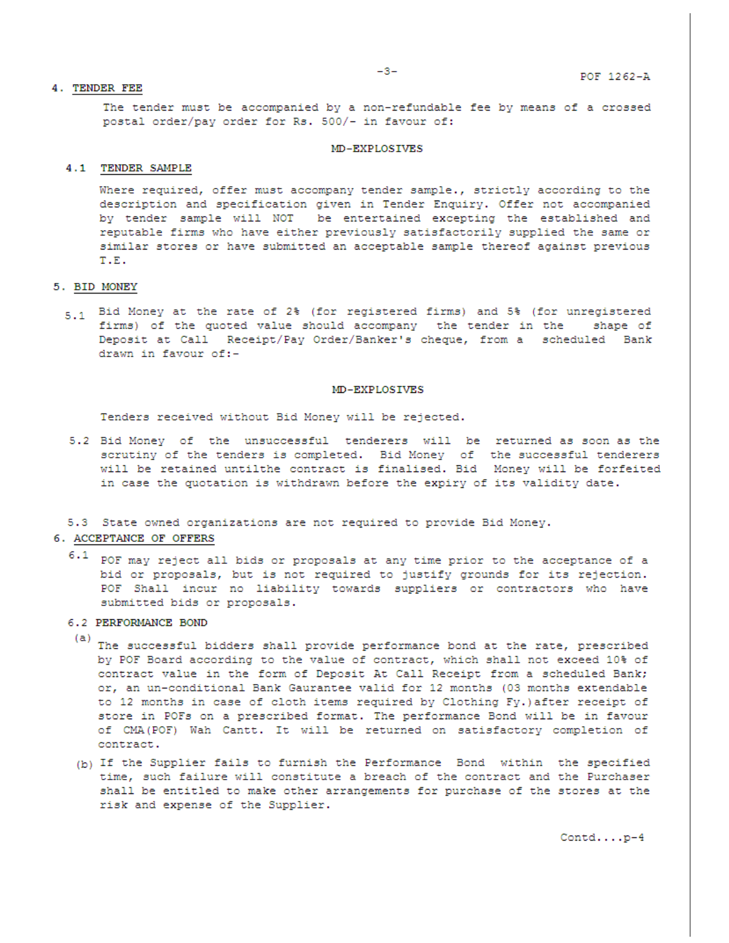### 4. TENDER FEE

The tender must be accompanied by a non-refundable fee by means of a crossed postal order/pay order for Rs. 500/- in favour of:

#### **MD-EXPLOSIVES**

#### 4.1 TENDER SAMPLE

Where required, offer must accompany tender sample., strictly according to the description and specification given in Tender Enquiry. Offer not accompanied by tender sample will NOT be entertained excepting the established and reputable firms who have either previously satisfactorily supplied the same or similar stores or have submitted an acceptable sample thereof against previous T.E.

### 5. BID MONEY

5.1 Bid Money at the rate of 2% (for registered firms) and 5% (for unregistered firms) of the quoted value should accompany the tender in the shape of Deposit at Call Receipt/Pay Order/Banker's cheque, from a scheduled Bank drawn in favour of:-

#### MD-EXPLOSIVES

Tenders received without Bid Money will be rejected.

5.2 Bid Money of the unsuccessful tenderers will be returned as soon as the scrutiny of the tenders is completed. Bid Money of the successful tenderers will be retained untilthe contract is finalised. Bid Money will be forfeited in case the quotation is withdrawn before the expiry of its validity date.

5.3 State owned organizations are not required to provide Bid Money.

### 6. ACCEPTANCE OF OFFERS

 $6.1$  POF may reject all bids or proposals at any time prior to the acceptance of a bid or proposals, but is not required to justify grounds for its rejection. POF Shall incur no liability towards suppliers or contractors who have submitted bids or proposals.

### 6.2 PERFORMANCE BOND

- (a) The successful bidders shall provide performance bond at the rate, prescribed by POF Board according to the value of contract, which shall not exceed 10% of contract value in the form of Deposit At Call Receipt from a scheduled Bank; or, an un-conditional Bank Gaurantee valid for 12 months (03 months extendable to 12 months in case of cloth items required by Clothing Fy.) after receipt of store in POFs on a prescribed format. The performance Bond will be in favour of CMA (POF) Wah Cantt. It will be returned on satisfactory completion of contract.
- (b) If the Supplier fails to furnish the Performance Bond within the specified time, such failure will constitute a breach of the contract and the Purchaser shall be entitled to make other arrangements for purchase of the stores at the risk and expense of the Supplier.

 $\texttt{Control} \ldots \texttt{.p-4}$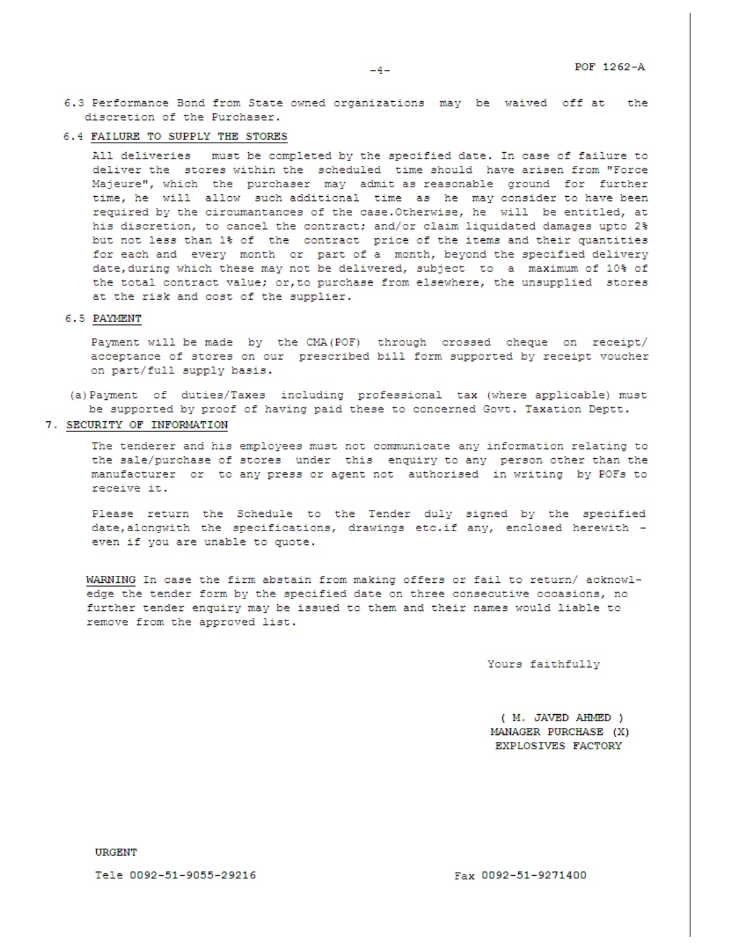- 6.3 Performance Bond from State owned organizations may be waived off at the discretion of the Purchaser.
- 6.4 FAILURE TO SUPPLY THE STORES

All deliveries must be completed by the specified date. In case of failure to deliver the stores within the scheduled time should have arisen from "Force Majeure", which the purchaser may admit as reasonable ground for further time, he will allow such additional time as he may consider to have been required by the circumantances of the case. Otherwise, he will be entitled, at his discretion, to cancel the contract; and/or claim liquidated damages upto 2% but not less than 1% of the contract price of the items and their quantities for each and every month or part of a month, beyond the specified delivery date, during which these may not be delivered, subject to a maximum of 10% of the total contract value; or, to purchase from elsewhere, the unsupplied stores at the risk and cost of the supplier.

#### 6.5 PAYMENT

Payment will be made by the CMA (POF) through crossed cheque on receipt/ acceptance of stores on our prescribed bill form supported by receipt voucher on part/full supply basis.

- (a) Payment of duties/Taxes including professional tax (where applicable) must be supported by proof of having paid these to concerned Govt. Taxation Deptt.
- 7. SECURITY OF INFORMATION

The tenderer and his employees must not communicate any information relating to the sale/purchase of stores under this enquiry to any person other than the manufacturer or to any press or agent not authorised in writing by POFs to receive it.

Please return the Schedule to the Tender duly signed by the specified date, alongwith the specifications, drawings etc.if any, enclosed herewith even if you are unable to quote.

WARNING In case the firm abstain from making offers or fail to return/ acknowledge the tender form by the specified date on three consecutive occasions, no further tender enquiry may be issued to them and their names would liable to remove from the approved list.

Yours faithfully

( M. JAVED AHMED ) MANAGER PURCHASE (X) EXPLOSIVES FACTORY

**URGENT** 

Tele 0092-51-9055-29216